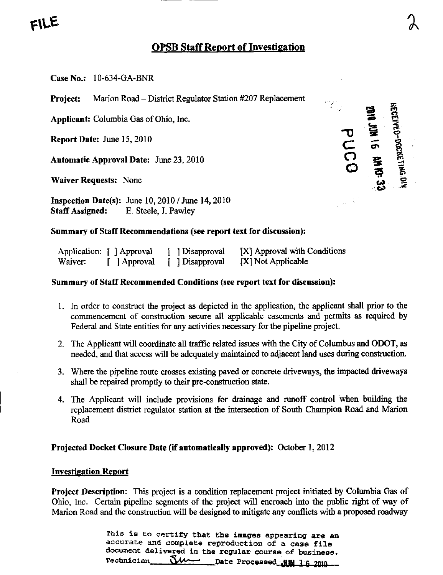# FILE

## **OPSB Staff Report of Investigation**

 $\tilde{\mathbf{z}}$ 

•-'.C»> ' •'' ^

Case No.: 10-634-GA-BNR

Project: Marion Road - District Regulator Station #207 Replacement

Applicant: Columbia Gas of Ohio, Inc.

Report Date: June 15,2010

Automatic Approval Date: June 23, 2010

 $\blacksquare$  Waiver Requests: None

Inspection Date(s): June 10,2010 / June 14,2010 StafT Assigned: E. Steele, J. Pawley

### Summary of Staff Recommendations (see report text for discussion):

|         | Application: [ ] Approval | [ ] Disapproval | [X] Approval with Conditions |
|---------|---------------------------|-----------------|------------------------------|
| Waiver: | [ ] Approval              | [ ] Disapproval | [X] Not Applicable           |

### Summary of Staff Recommended Conditions (see report text for discussion):

- 1. In order to construct the project as depicted in the application, the applicant shall prior to the commencement of construction secure all applicable easements and permits as required by Federal and State entities for any activities necessary for the pipeline project,
- 2. The Applicant will coordinate all traffic related issues with the City of Columbus and ODOT, as needed, and that access will be adequately maintained to adjacent land uses during construction.
- 3. Where the pipeline route crosses existing paved or concrete driveways, the impacted driveways shall be repaired promptly to their pre-construction state.
- 4. The Applicant will include provisions for drainage and runoff control when building the replacement district regulator station at the intersection of South Champion Road and Marion Road

Projected Docket Closure Date (if automatically approved): October 1, 2012

#### Investigation Report

Project Description: This project is a condition replacement project initiated by Columbia Gas of Ohio, Inc. Certain pipeline segments of the project will encroach into the public right of way of Marion Road and the construction will be designed to mitigate any conflicts with a proposed roadway

> This is to certify that the images appearing are an accurate and complete reproduction of a case file documeat delivered in the regular course of business-Technician Sum Date Processed WIM 16 2010